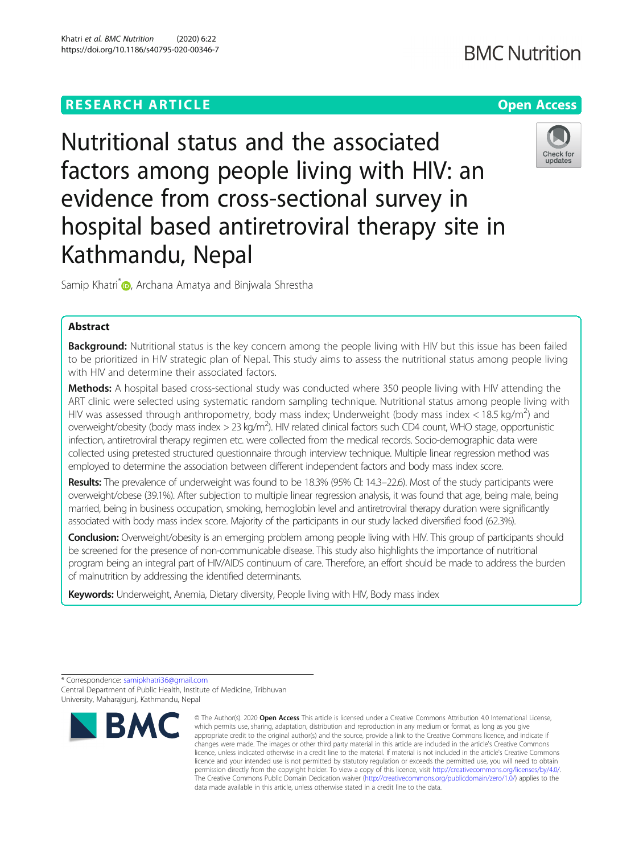# **RESEARCH ARTICLE Example 2014 12:30 The Contract of Contract ACCESS**

# Nutritional status and the associated factors among people living with HIV: an evidence from cross-sectional survey in hospital based antiretroviral therapy site in Kathmandu, Nepal

Samip Khatri<sup>[\\*](https://orcid.org/0000-0002-8228-2640)</sup> <sub>D</sub>, Archana Amatya and Binjwala Shrestha

# Abstract

Background: Nutritional status is the key concern among the people living with HIV but this issue has been failed to be prioritized in HIV strategic plan of Nepal. This study aims to assess the nutritional status among people living with HIV and determine their associated factors.

Methods: A hospital based cross-sectional study was conducted where 350 people living with HIV attending the ART clinic were selected using systematic random sampling technique. Nutritional status among people living with HIV was assessed through anthropometry, body mass index; Underweight (body mass index < 18.5 kg/m<sup>2</sup>) and overweight/obesity (body mass index > 23 kg/m<sup>2</sup>). HIV related clinical factors such CD4 count, WHO stage, opportunistic infection, antiretroviral therapy regimen etc. were collected from the medical records. Socio-demographic data were collected using pretested structured questionnaire through interview technique. Multiple linear regression method was employed to determine the association between different independent factors and body mass index score.

Results: The prevalence of underweight was found to be 18.3% (95% CI: 14.3–22.6). Most of the study participants were overweight/obese (39.1%). After subjection to multiple linear regression analysis, it was found that age, being male, being married, being in business occupation, smoking, hemoglobin level and antiretroviral therapy duration were significantly associated with body mass index score. Majority of the participants in our study lacked diversified food (62.3%).

**Conclusion:** Overweight/obesity is an emerging problem among people living with HIV. This group of participants should be screened for the presence of non-communicable disease. This study also highlights the importance of nutritional program being an integral part of HIV/AIDS continuum of care. Therefore, an effort should be made to address the burden of malnutrition by addressing the identified determinants.

Keywords: Underweight, Anemia, Dietary diversity, People living with HIV, Body mass index



Check for updates



<sup>\*</sup> Correspondence: [samipkhatri36@gmail.com](mailto:samipkhatri36@gmail.com) Central Department of Public Health, Institute of Medicine, Tribhuvan University, Maharajgunj, Kathmandu, Nepal

<sup>©</sup> The Author(s), 2020 **Open Access** This article is licensed under a Creative Commons Attribution 4.0 International License, which permits use, sharing, adaptation, distribution and reproduction in any medium or format, as long as you give appropriate credit to the original author(s) and the source, provide a link to the Creative Commons licence, and indicate if changes were made. The images or other third party material in this article are included in the article's Creative Commons licence, unless indicated otherwise in a credit line to the material. If material is not included in the article's Creative Commons licence and your intended use is not permitted by statutory regulation or exceeds the permitted use, you will need to obtain permission directly from the copyright holder. To view a copy of this licence, visit [http://creativecommons.org/licenses/by/4.0/.](http://creativecommons.org/licenses/by/4.0/) The Creative Commons Public Domain Dedication waiver [\(http://creativecommons.org/publicdomain/zero/1.0/](http://creativecommons.org/publicdomain/zero/1.0/)) applies to the data made available in this article, unless otherwise stated in a credit line to the data.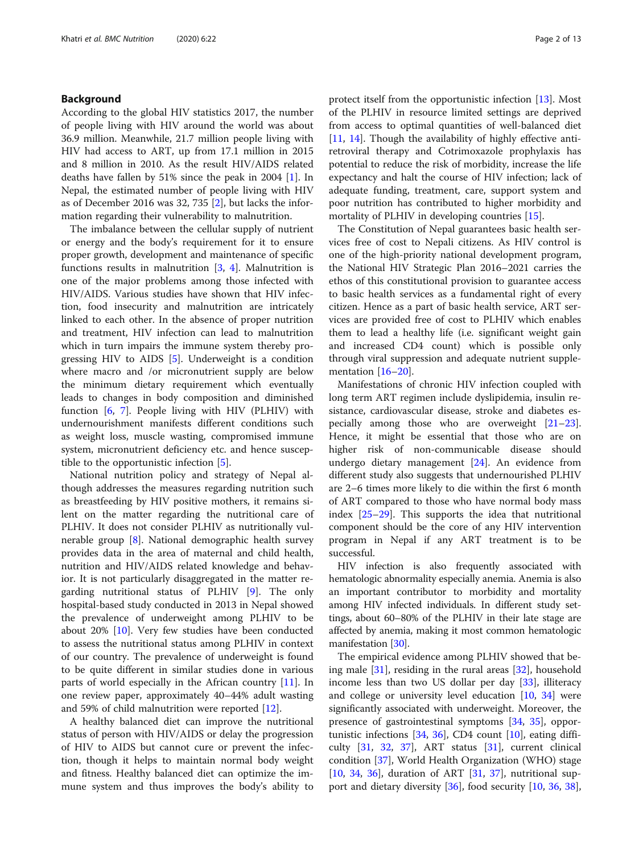# Background

According to the global HIV statistics 2017, the number of people living with HIV around the world was about 36.9 million. Meanwhile, 21.7 million people living with HIV had access to ART, up from 17.1 million in 2015 and 8 million in 2010. As the result HIV/AIDS related deaths have fallen by 51% since the peak in 2004 [\[1](#page-11-0)]. In Nepal, the estimated number of people living with HIV as of December 2016 was 32, 735 [\[2](#page-11-0)], but lacks the information regarding their vulnerability to malnutrition.

The imbalance between the cellular supply of nutrient or energy and the body's requirement for it to ensure proper growth, development and maintenance of specific functions results in malnutrition  $[3, 4]$  $[3, 4]$  $[3, 4]$ . Malnutrition is one of the major problems among those infected with HIV/AIDS. Various studies have shown that HIV infection, food insecurity and malnutrition are intricately linked to each other. In the absence of proper nutrition and treatment, HIV infection can lead to malnutrition which in turn impairs the immune system thereby progressing HIV to AIDS [\[5](#page-11-0)]. Underweight is a condition where macro and /or micronutrient supply are below the minimum dietary requirement which eventually leads to changes in body composition and diminished function [\[6](#page-11-0), [7](#page-11-0)]. People living with HIV (PLHIV) with undernourishment manifests different conditions such as weight loss, muscle wasting, compromised immune system, micronutrient deficiency etc. and hence susceptible to the opportunistic infection [\[5](#page-11-0)].

National nutrition policy and strategy of Nepal although addresses the measures regarding nutrition such as breastfeeding by HIV positive mothers, it remains silent on the matter regarding the nutritional care of PLHIV. It does not consider PLHIV as nutritionally vulnerable group [[8\]](#page-11-0). National demographic health survey provides data in the area of maternal and child health, nutrition and HIV/AIDS related knowledge and behavior. It is not particularly disaggregated in the matter regarding nutritional status of PLHIV [[9\]](#page-11-0). The only hospital-based study conducted in 2013 in Nepal showed the prevalence of underweight among PLHIV to be about 20% [\[10\]](#page-11-0). Very few studies have been conducted to assess the nutritional status among PLHIV in context of our country. The prevalence of underweight is found to be quite different in similar studies done in various parts of world especially in the African country [[11\]](#page-11-0). In one review paper, approximately 40–44% adult wasting and 59% of child malnutrition were reported [[12\]](#page-11-0).

A healthy balanced diet can improve the nutritional status of person with HIV/AIDS or delay the progression of HIV to AIDS but cannot cure or prevent the infection, though it helps to maintain normal body weight and fitness. Healthy balanced diet can optimize the immune system and thus improves the body's ability to protect itself from the opportunistic infection [\[13\]](#page-11-0). Most of the PLHIV in resource limited settings are deprived from access to optimal quantities of well-balanced diet [[11,](#page-11-0) [14](#page-11-0)]. Though the availability of highly effective antiretroviral therapy and Cotrimoxazole prophylaxis has potential to reduce the risk of morbidity, increase the life expectancy and halt the course of HIV infection; lack of adequate funding, treatment, care, support system and poor nutrition has contributed to higher morbidity and mortality of PLHIV in developing countries [\[15](#page-11-0)].

The Constitution of Nepal guarantees basic health services free of cost to Nepali citizens. As HIV control is one of the high-priority national development program, the National HIV Strategic Plan 2016–2021 carries the ethos of this constitutional provision to guarantee access to basic health services as a fundamental right of every citizen. Hence as a part of basic health service, ART services are provided free of cost to PLHIV which enables them to lead a healthy life (i.e. significant weight gain and increased CD4 count) which is possible only through viral suppression and adequate nutrient supple-mentation [[16](#page-11-0)–[20](#page-11-0)].

Manifestations of chronic HIV infection coupled with long term ART regimen include dyslipidemia, insulin resistance, cardiovascular disease, stroke and diabetes especially among those who are overweight [[21](#page-11-0)–[23](#page-11-0)]. Hence, it might be essential that those who are on higher risk of non-communicable disease should undergo dietary management [\[24\]](#page-11-0). An evidence from different study also suggests that undernourished PLHIV are 2–6 times more likely to die within the first 6 month of ART compared to those who have normal body mass index [\[25](#page-11-0)–[29\]](#page-11-0). This supports the idea that nutritional component should be the core of any HIV intervention program in Nepal if any ART treatment is to be successful.

HIV infection is also frequently associated with hematologic abnormality especially anemia. Anemia is also an important contributor to morbidity and mortality among HIV infected individuals. In different study settings, about 60–80% of the PLHIV in their late stage are affected by anemia, making it most common hematologic manifestation [[30](#page-11-0)].

The empirical evidence among PLHIV showed that being male [[31](#page-11-0)], residing in the rural areas [\[32\]](#page-11-0), household income less than two US dollar per day [\[33](#page-11-0)], illiteracy and college or university level education [\[10](#page-11-0), [34\]](#page-11-0) were significantly associated with underweight. Moreover, the presence of gastrointestinal symptoms [\[34](#page-11-0), [35\]](#page-11-0), opportunistic infections [\[34,](#page-11-0) [36\]](#page-11-0), CD4 count [[10\]](#page-11-0), eating difficulty  $[31, 32, 37]$  $[31, 32, 37]$  $[31, 32, 37]$  $[31, 32, 37]$  $[31, 32, 37]$ , ART status  $[31]$  $[31]$  $[31]$ , current clinical condition [[37\]](#page-11-0), World Health Organization (WHO) stage  $[10, 34, 36]$  $[10, 34, 36]$  $[10, 34, 36]$  $[10, 34, 36]$  $[10, 34, 36]$  $[10, 34, 36]$  $[10, 34, 36]$ , duration of ART  $[31, 37]$  $[31, 37]$  $[31, 37]$  $[31, 37]$ , nutritional support and dietary diversity [\[36\]](#page-11-0), food security [\[10,](#page-11-0) [36](#page-11-0), [38](#page-11-0)],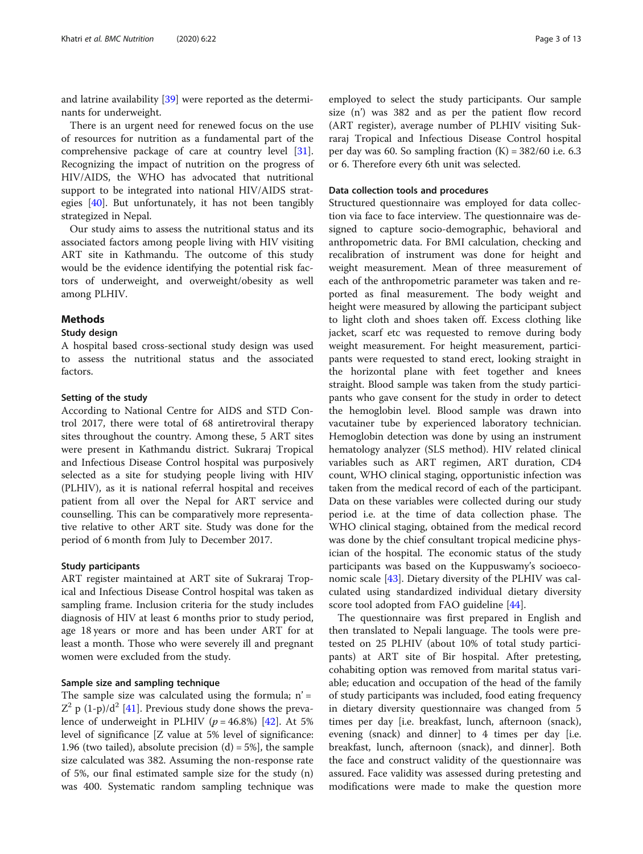and latrine availability [[39\]](#page-11-0) were reported as the determinants for underweight.

There is an urgent need for renewed focus on the use of resources for nutrition as a fundamental part of the comprehensive package of care at country level [\[31](#page-11-0)]. Recognizing the impact of nutrition on the progress of HIV/AIDS, the WHO has advocated that nutritional support to be integrated into national HIV/AIDS strategies [[40](#page-11-0)]. But unfortunately, it has not been tangibly strategized in Nepal.

Our study aims to assess the nutritional status and its associated factors among people living with HIV visiting ART site in Kathmandu. The outcome of this study would be the evidence identifying the potential risk factors of underweight, and overweight/obesity as well among PLHIV.

## Methods

#### Study design

A hospital based cross-sectional study design was used to assess the nutritional status and the associated factors.

# Setting of the study

According to National Centre for AIDS and STD Control 2017, there were total of 68 antiretroviral therapy sites throughout the country. Among these, 5 ART sites were present in Kathmandu district. Sukraraj Tropical and Infectious Disease Control hospital was purposively selected as a site for studying people living with HIV (PLHIV), as it is national referral hospital and receives patient from all over the Nepal for ART service and counselling. This can be comparatively more representative relative to other ART site. Study was done for the period of 6 month from July to December 2017.

## Study participants

ART register maintained at ART site of Sukraraj Tropical and Infectious Disease Control hospital was taken as sampling frame. Inclusion criteria for the study includes diagnosis of HIV at least 6 months prior to study period, age 18 years or more and has been under ART for at least a month. Those who were severely ill and pregnant women were excluded from the study.

#### Sample size and sampling technique

The sample size was calculated using the formula;  $n' =$  $Z^2$  p (1-p)/d<sup>2</sup> [[41](#page-11-0)]. Previous study done shows the prevalence of underweight in PLHIV ( $p = 46.8\%$ ) [\[42](#page-12-0)]. At 5% level of significance [Z value at 5% level of significance: 1.96 (two tailed), absolute precision  $(d) = 5\%$ ], the sample size calculated was 382. Assuming the non-response rate of 5%, our final estimated sample size for the study (n) was 400. Systematic random sampling technique was

employed to select the study participants. Our sample size (n') was 382 and as per the patient flow record (ART register), average number of PLHIV visiting Sukraraj Tropical and Infectious Disease Control hospital per day was 60. So sampling fraction  $(K) = 382/60$  i.e. 6.3 or 6. Therefore every 6th unit was selected.

# Data collection tools and procedures

Structured questionnaire was employed for data collection via face to face interview. The questionnaire was designed to capture socio-demographic, behavioral and anthropometric data. For BMI calculation, checking and recalibration of instrument was done for height and weight measurement. Mean of three measurement of each of the anthropometric parameter was taken and reported as final measurement. The body weight and height were measured by allowing the participant subject to light cloth and shoes taken off. Excess clothing like jacket, scarf etc was requested to remove during body weight measurement. For height measurement, participants were requested to stand erect, looking straight in the horizontal plane with feet together and knees straight. Blood sample was taken from the study participants who gave consent for the study in order to detect the hemoglobin level. Blood sample was drawn into vacutainer tube by experienced laboratory technician. Hemoglobin detection was done by using an instrument hematology analyzer (SLS method). HIV related clinical variables such as ART regimen, ART duration, CD4 count, WHO clinical staging, opportunistic infection was taken from the medical record of each of the participant. Data on these variables were collected during our study period i.e. at the time of data collection phase. The WHO clinical staging, obtained from the medical record was done by the chief consultant tropical medicine physician of the hospital. The economic status of the study participants was based on the Kuppuswamy's socioeconomic scale [\[43\]](#page-12-0). Dietary diversity of the PLHIV was calculated using standardized individual dietary diversity score tool adopted from FAO guideline [\[44](#page-12-0)].

The questionnaire was first prepared in English and then translated to Nepali language. The tools were pretested on 25 PLHIV (about 10% of total study participants) at ART site of Bir hospital. After pretesting, cohabiting option was removed from marital status variable; education and occupation of the head of the family of study participants was included, food eating frequency in dietary diversity questionnaire was changed from 5 times per day [i.e. breakfast, lunch, afternoon (snack), evening (snack) and dinner] to 4 times per day [i.e. breakfast, lunch, afternoon (snack), and dinner]. Both the face and construct validity of the questionnaire was assured. Face validity was assessed during pretesting and modifications were made to make the question more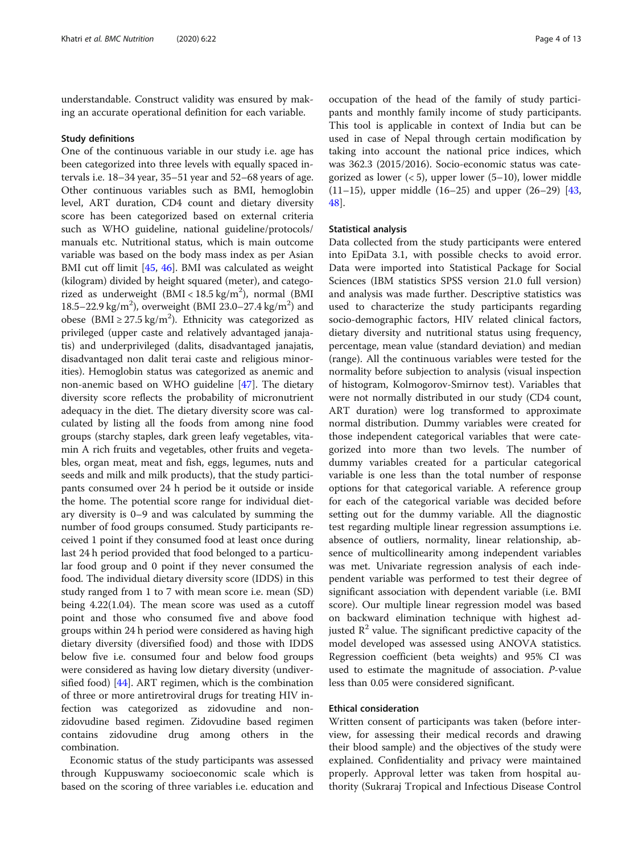understandable. Construct validity was ensured by making an accurate operational definition for each variable.

#### Study definitions

One of the continuous variable in our study i.e. age has been categorized into three levels with equally spaced intervals i.e. 18–34 year, 35–51 year and 52–68 years of age. Other continuous variables such as BMI, hemoglobin level, ART duration, CD4 count and dietary diversity score has been categorized based on external criteria such as WHO guideline, national guideline/protocols/ manuals etc. Nutritional status, which is main outcome variable was based on the body mass index as per Asian BMI cut off limit [\[45,](#page-12-0) [46](#page-12-0)]. BMI was calculated as weight (kilogram) divided by height squared (meter), and categorized as underweight (BMI < 18.5 kg/m<sup>2</sup>), normal (BMI 18.5–22.9 kg/m<sup>2</sup>), overweight (BMI 23.0–27.4 kg/m<sup>2</sup>) and obese (BMI  $\geq$  27.5 kg/m<sup>2</sup>). Ethnicity was categorized as privileged (upper caste and relatively advantaged janajatis) and underprivileged (dalits, disadvantaged janajatis, disadvantaged non dalit terai caste and religious minorities). Hemoglobin status was categorized as anemic and non-anemic based on WHO guideline [[47](#page-12-0)]. The dietary diversity score reflects the probability of micronutrient adequacy in the diet. The dietary diversity score was calculated by listing all the foods from among nine food groups (starchy staples, dark green leafy vegetables, vitamin A rich fruits and vegetables, other fruits and vegetables, organ meat, meat and fish, eggs, legumes, nuts and seeds and milk and milk products), that the study participants consumed over 24 h period be it outside or inside the home. The potential score range for individual dietary diversity is 0–9 and was calculated by summing the number of food groups consumed. Study participants received 1 point if they consumed food at least once during last 24 h period provided that food belonged to a particular food group and 0 point if they never consumed the food. The individual dietary diversity score (IDDS) in this study ranged from 1 to 7 with mean score i.e. mean (SD) being 4.22(1.04). The mean score was used as a cutoff point and those who consumed five and above food groups within 24 h period were considered as having high dietary diversity (diversified food) and those with IDDS below five i.e. consumed four and below food groups were considered as having low dietary diversity (undiversified food) [\[44](#page-12-0)]. ART regimen, which is the combination of three or more antiretroviral drugs for treating HIV infection was categorized as zidovudine and nonzidovudine based regimen. Zidovudine based regimen contains zidovudine drug among others in the combination.

Economic status of the study participants was assessed through Kuppuswamy socioeconomic scale which is based on the scoring of three variables i.e. education and

occupation of the head of the family of study participants and monthly family income of study participants. This tool is applicable in context of India but can be used in case of Nepal through certain modification by taking into account the national price indices, which was 362.3 (2015/2016). Socio-economic status was categorized as lower  $(< 5$ ), upper lower  $(5-10)$ , lower middle (11–15), upper middle (16–25) and upper (26–29) [[43](#page-12-0), [48\]](#page-12-0).

## Statistical analysis

Data collected from the study participants were entered into EpiData 3.1, with possible checks to avoid error. Data were imported into Statistical Package for Social Sciences (IBM statistics SPSS version 21.0 full version) and analysis was made further. Descriptive statistics was used to characterize the study participants regarding socio-demographic factors, HIV related clinical factors, dietary diversity and nutritional status using frequency, percentage, mean value (standard deviation) and median (range). All the continuous variables were tested for the normality before subjection to analysis (visual inspection of histogram, Kolmogorov-Smirnov test). Variables that were not normally distributed in our study (CD4 count, ART duration) were log transformed to approximate normal distribution. Dummy variables were created for those independent categorical variables that were categorized into more than two levels. The number of dummy variables created for a particular categorical variable is one less than the total number of response options for that categorical variable. A reference group for each of the categorical variable was decided before setting out for the dummy variable. All the diagnostic test regarding multiple linear regression assumptions i.e. absence of outliers, normality, linear relationship, absence of multicollinearity among independent variables was met. Univariate regression analysis of each independent variable was performed to test their degree of significant association with dependent variable (i.e. BMI score). Our multiple linear regression model was based on backward elimination technique with highest adjusted  $\mathbb{R}^2$  value. The significant predictive capacity of the model developed was assessed using ANOVA statistics. Regression coefficient (beta weights) and 95% CI was used to estimate the magnitude of association. P-value less than 0.05 were considered significant.

# Ethical consideration

Written consent of participants was taken (before interview, for assessing their medical records and drawing their blood sample) and the objectives of the study were explained. Confidentiality and privacy were maintained properly. Approval letter was taken from hospital authority (Sukraraj Tropical and Infectious Disease Control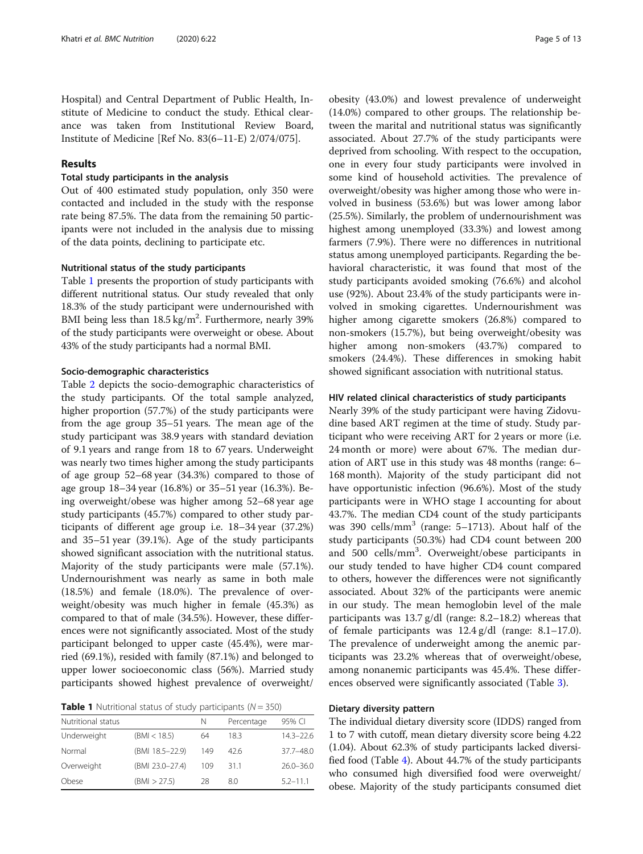Hospital) and Central Department of Public Health, Institute of Medicine to conduct the study. Ethical clearance was taken from Institutional Review Board, Institute of Medicine [Ref No. 83(6–11-E) 2/074/075].

# Results

# Total study participants in the analysis

Out of 400 estimated study population, only 350 were contacted and included in the study with the response rate being 87.5%. The data from the remaining 50 participants were not included in the analysis due to missing of the data points, declining to participate etc.

# Nutritional status of the study participants

Table 1 presents the proportion of study participants with different nutritional status. Our study revealed that only 18.3% of the study participant were undernourished with BMI being less than  $18.5 \text{ kg/m}^2$ . Furthermore, nearly 39% of the study participants were overweight or obese. About 43% of the study participants had a normal BMI.

#### Socio-demographic characteristics

Table [2](#page-5-0) depicts the socio-demographic characteristics of the study participants. Of the total sample analyzed, higher proportion (57.7%) of the study participants were from the age group 35–51 years. The mean age of the study participant was 38.9 years with standard deviation of 9.1 years and range from 18 to 67 years. Underweight was nearly two times higher among the study participants of age group 52–68 year (34.3%) compared to those of age group 18–34 year (16.8%) or 35–51 year (16.3%). Being overweight/obese was higher among 52–68 year age study participants (45.7%) compared to other study participants of different age group i.e. 18–34 year (37.2%) and 35–51 year (39.1%). Age of the study participants showed significant association with the nutritional status. Majority of the study participants were male (57.1%). Undernourishment was nearly as same in both male (18.5%) and female (18.0%). The prevalence of overweight/obesity was much higher in female (45.3%) as compared to that of male (34.5%). However, these differences were not significantly associated. Most of the study participant belonged to upper caste (45.4%), were married (69.1%), resided with family (87.1%) and belonged to upper lower socioeconomic class (56%). Married study participants showed highest prevalence of overweight/

**Table 1** Nutritional status of study participants ( $N = 350$ )

| Nutritional status |                 | N   | Percentage | 95% CI        |
|--------------------|-----------------|-----|------------|---------------|
| Underweight        | (BMI < 18.5)    | 64  | 18.3       | $14.3 - 22.6$ |
| Normal             | (BMI 18.5-22.9) | 149 | 426        | $37.7 - 48.0$ |
| Overweight         | (BMI 23.0-27.4) | 109 | 311        | $26.0 - 36.0$ |
| Obese              | (BMI > 27.5)    | 28  | 8.0        | $5.2 - 11.1$  |

obesity (43.0%) and lowest prevalence of underweight (14.0%) compared to other groups. The relationship between the marital and nutritional status was significantly associated. About 27.7% of the study participants were deprived from schooling. With respect to the occupation, one in every four study participants were involved in some kind of household activities. The prevalence of overweight/obesity was higher among those who were involved in business (53.6%) but was lower among labor (25.5%). Similarly, the problem of undernourishment was highest among unemployed (33.3%) and lowest among farmers (7.9%). There were no differences in nutritional status among unemployed participants. Regarding the behavioral characteristic, it was found that most of the study participants avoided smoking (76.6%) and alcohol use (92%). About 23.4% of the study participants were involved in smoking cigarettes. Undernourishment was higher among cigarette smokers (26.8%) compared to non-smokers (15.7%), but being overweight/obesity was higher among non-smokers (43.7%) compared to smokers (24.4%). These differences in smoking habit showed significant association with nutritional status.

#### HIV related clinical characteristics of study participants

Nearly 39% of the study participant were having Zidovudine based ART regimen at the time of study. Study participant who were receiving ART for 2 years or more (i.e. 24 month or more) were about 67%. The median duration of ART use in this study was 48 months (range: 6– 168 month). Majority of the study participant did not have opportunistic infection (96.6%). Most of the study participants were in WHO stage I accounting for about 43.7%. The median CD4 count of the study participants was 390 cells/ $\text{mm}^3$  (range: 5–1713). About half of the study participants (50.3%) had CD4 count between 200 and 500 cells/mm<sup>3</sup>. Overweight/obese participants in our study tended to have higher CD4 count compared to others, however the differences were not significantly associated. About 32% of the participants were anemic in our study. The mean hemoglobin level of the male participants was 13.7 g/dl (range: 8.2–18.2) whereas that of female participants was 12.4 g/dl (range: 8.1–17.0). The prevalence of underweight among the anemic participants was 23.2% whereas that of overweight/obese, among nonanemic participants was 45.4%. These differences observed were significantly associated (Table [3](#page-6-0)).

# Dietary diversity pattern

The individual dietary diversity score (IDDS) ranged from 1 to 7 with cutoff, mean dietary diversity score being 4.22 (1.04). About 62.3% of study participants lacked diversified food (Table [4](#page-7-0)). About 44.7% of the study participants who consumed high diversified food were overweight/ obese. Majority of the study participants consumed diet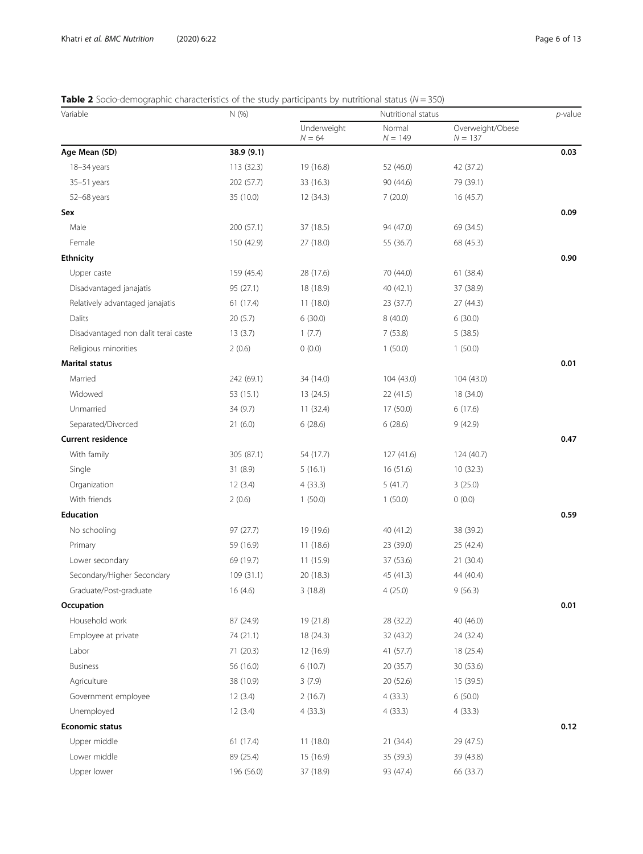# <span id="page-5-0"></span>**Table 2** Socio-demographic characteristics of the study participants by nutritional status ( $N = 350$ )

| Variable                            | N (%)      | Nutritional status      |                     |                               | $p$ -value |
|-------------------------------------|------------|-------------------------|---------------------|-------------------------------|------------|
|                                     |            | Underweight<br>$N = 64$ | Normal<br>$N = 149$ | Overweight/Obese<br>$N = 137$ |            |
| Age Mean (SD)                       | 38.9 (9.1) |                         |                     |                               | 0.03       |
| 18-34 years                         | 113 (32.3) | 19 (16.8)               | 52 (46.0)           | 42 (37.2)                     |            |
| 35-51 years                         | 202 (57.7) | 33 (16.3)               | 90 (44.6)           | 79 (39.1)                     |            |
| 52-68 years                         | 35 (10.0)  | 12 (34.3)               | 7(20.0)             | 16 (45.7)                     |            |
| Sex                                 |            |                         |                     |                               | 0.09       |
| Male                                | 200 (57.1) | 37 (18.5)               | 94 (47.0)           | 69 (34.5)                     |            |
| Female                              | 150 (42.9) | 27 (18.0)               | 55 (36.7)           | 68 (45.3)                     |            |
| <b>Ethnicity</b>                    |            |                         |                     |                               | 0.90       |
| Upper caste                         | 159 (45.4) | 28 (17.6)               | 70 (44.0)           | 61(38.4)                      |            |
| Disadvantaged janajatis             | 95 (27.1)  | 18 (18.9)               | 40 (42.1)           | 37 (38.9)                     |            |
| Relatively advantaged janajatis     | 61 (17.4)  | 11(18.0)                | 23 (37.7)           | 27 (44.3)                     |            |
| Dalits                              | 20(5.7)    | 6(30.0)                 | 8(40.0)             | 6(30.0)                       |            |
| Disadvantaged non dalit terai caste | 13(3.7)    | 1(7.7)                  | 7(53.8)             | 5(38.5)                       |            |
| Religious minorities                | 2(0.6)     | 0(0.0)                  | 1(50.0)             | 1(50.0)                       |            |
| <b>Marital status</b>               |            |                         |                     |                               | 0.01       |
| Married                             | 242 (69.1) | 34 (14.0)               | 104 (43.0)          | 104 (43.0)                    |            |
| Widowed                             | 53 (15.1)  | 13 (24.5)               | 22 (41.5)           | 18 (34.0)                     |            |
| Unmarried                           | 34 (9.7)   | 11(32.4)                | 17 (50.0)           | 6(17.6)                       |            |
| Separated/Divorced                  | 21(6.0)    | 6(28.6)                 | 6(28.6)             | 9(42.9)                       |            |
| <b>Current residence</b>            |            |                         |                     |                               | 0.47       |
| With family                         | 305 (87.1) | 54 (17.7)               | 127 (41.6)          | 124 (40.7)                    |            |
| Single                              | 31(8.9)    | 5(16.1)                 | 16 (51.6)           | 10(32.3)                      |            |
| Organization                        | 12(3.4)    | 4(33.3)                 | 5(41.7)             | 3(25.0)                       |            |
| With friends                        | 2(0.6)     | 1(50.0)                 | 1(50.0)             | 0(0.0)                        |            |
| <b>Education</b>                    |            |                         |                     |                               | 0.59       |
| No schooling                        | 97 (27.7)  | 19 (19.6)               | 40 (41.2)           | 38 (39.2)                     |            |
| Primary                             | 59 (16.9)  | 11(18.6)                | 23 (39.0)           | 25 (42.4)                     |            |
| Lower secondary                     | 69 (19.7)  | 11 (15.9)               | 37 (53.6)           | 21 (30.4)                     |            |
| Secondary/Higher Secondary          | 109 (31.1) | 20 (18.3)               | 45 (41.3)           | 44 (40.4)                     |            |
| Graduate/Post-graduate              | 16 (4.6)   | 3(18.8)                 | 4(25.0)             | 9(56.3)                       |            |
| Occupation                          |            |                         |                     |                               | 0.01       |
| Household work                      | 87 (24.9)  | 19 (21.8)               | 28 (32.2)           | 40 (46.0)                     |            |
| Employee at private                 | 74 (21.1)  | 18 (24.3)               | 32 (43.2)           | 24 (32.4)                     |            |
| Labor                               | 71 (20.3)  | 12 (16.9)               | 41 (57.7)           | 18 (25.4)                     |            |
| <b>Business</b>                     | 56 (16.0)  | 6(10.7)                 | 20 (35.7)           | 30 (53.6)                     |            |
| Agriculture                         | 38 (10.9)  | 3(7.9)                  | 20 (52.6)           | 15 (39.5)                     |            |
| Government employee                 | 12(3.4)    | 2(16.7)                 | 4(33.3)             | 6(50.0)                       |            |
| Unemployed                          | 12(3.4)    | 4(33.3)                 | 4(33.3)             | 4(33.3)                       |            |
| <b>Economic status</b>              |            |                         |                     |                               | 0.12       |
| Upper middle                        | 61 (17.4)  | 11(18.0)                | 21 (34.4)           | 29 (47.5)                     |            |
| Lower middle                        | 89 (25.4)  | 15 (16.9)               | 35 (39.3)           | 39 (43.8)                     |            |
| Upper lower                         | 196 (56.0) | 37 (18.9)               | 93 (47.4)           | 66 (33.7)                     |            |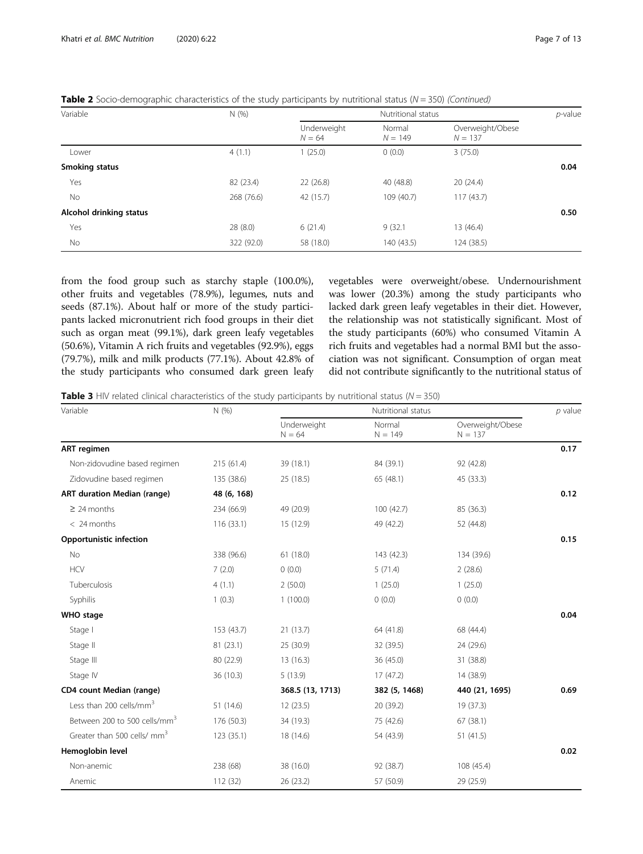| Variable                | N(%)       | Nutritional status      |                     |                               |      |
|-------------------------|------------|-------------------------|---------------------|-------------------------------|------|
|                         |            | Underweight<br>$N = 64$ | Normal<br>$N = 149$ | Overweight/Obese<br>$N = 137$ |      |
| Lower                   | 4(1.1)     | (25.0)                  | 0(0.0)              | 3(75.0)                       |      |
| Smoking status          |            |                         |                     |                               | 0.04 |
| Yes                     | 82 (23.4)  | 22(26.8)                | 40 (48.8)           | 20(24.4)                      |      |
| No                      | 268 (76.6) | 42 (15.7)               | 109 (40.7)          | 117(43.7)                     |      |
| Alcohol drinking status |            |                         |                     |                               | 0.50 |
| Yes                     | 28(8.0)    | 6(21.4)                 | 9(32.1)             | 13 (46.4)                     |      |
| No                      | 322 (92.0) | 58 (18.0)               | 140(43.5)           | 124 (38.5)                    |      |

<span id="page-6-0"></span>**Table 2** Socio-demographic characteristics of the study participants by nutritional status ( $N = 350$ ) (Continued)

from the food group such as starchy staple (100.0%), other fruits and vegetables (78.9%), legumes, nuts and seeds (87.1%). About half or more of the study participants lacked micronutrient rich food groups in their diet such as organ meat (99.1%), dark green leafy vegetables (50.6%), Vitamin A rich fruits and vegetables (92.9%), eggs (79.7%), milk and milk products (77.1%). About 42.8% of the study participants who consumed dark green leafy

vegetables were overweight/obese. Undernourishment was lower (20.3%) among the study participants who lacked dark green leafy vegetables in their diet. However, the relationship was not statistically significant. Most of the study participants (60%) who consumed Vitamin A rich fruits and vegetables had a normal BMI but the association was not significant. Consumption of organ meat did not contribute significantly to the nutritional status of

**Table 3** HIV related clinical characteristics of the study participants by nutritional status ( $N = 350$ )

| Variable                                 | N(% )       |                         | Nutritional status  |                               |      |
|------------------------------------------|-------------|-------------------------|---------------------|-------------------------------|------|
|                                          |             | Underweight<br>$N = 64$ | Normal<br>$N = 149$ | Overweight/Obese<br>$N = 137$ |      |
| <b>ART</b> regimen                       |             |                         |                     |                               | 0.17 |
| Non-zidovudine based regimen             | 215 (61.4)  | 39 (18.1)               | 84 (39.1)           | 92 (42.8)                     |      |
| Zidovudine based regimen                 | 135 (38.6)  | 25 (18.5)               | 65 (48.1)           | 45 (33.3)                     |      |
| <b>ART duration Median (range)</b>       | 48 (6, 168) |                         |                     |                               | 0.12 |
| $\geq$ 24 months                         | 234 (66.9)  | 49 (20.9)               | 100 (42.7)          | 85 (36.3)                     |      |
| $< 24$ months                            | 116 (33.1)  | 15 (12.9)               | 49 (42.2)           | 52 (44.8)                     |      |
| Opportunistic infection                  |             |                         |                     |                               | 0.15 |
| No                                       | 338 (96.6)  | 61(18.0)                | 143 (42.3)          | 134 (39.6)                    |      |
| <b>HCV</b>                               | 7(2.0)      | 0(0.0)                  | 5(71.4)             | 2(28.6)                       |      |
| Tuberculosis                             | 4(1.1)      | 2(50.0)                 | 1(25.0)             | 1(25.0)                       |      |
| Syphilis                                 | 1(0.3)      | 1(100.0)                | 0(0.0)              | 0(0.0)                        |      |
| <b>WHO</b> stage                         |             |                         |                     |                               | 0.04 |
| Stage I                                  | 153 (43.7)  | 21(13.7)                | 64 (41.8)           | 68 (44.4)                     |      |
| Stage II                                 | 81 (23.1)   | 25 (30.9)               | 32 (39.5)           | 24 (29.6)                     |      |
| Stage III                                | 80 (22.9)   | 13(16.3)                | 36 (45.0)           | 31 (38.8)                     |      |
| Stage IV                                 | 36 (10.3)   | 5(13.9)                 | 17(47.2)            | 14 (38.9)                     |      |
| CD4 count Median (range)                 |             | 368.5 (13, 1713)        | 382 (5, 1468)       | 440 (21, 1695)                | 0.69 |
| Less than 200 cells/mm <sup>3</sup>      | 51 (14.6)   | 12(23.5)                | 20 (39.2)           | 19 (37.3)                     |      |
| Between 200 to 500 cells/mm <sup>3</sup> | 176 (50.3)  | 34 (19.3)               | 75 (42.6)           | 67(38.1)                      |      |
| Greater than 500 cells/ mm <sup>3</sup>  | 123 (35.1)  | 18 (14.6)               | 54 (43.9)           | 51(41.5)                      |      |
| Hemoglobin level                         |             |                         |                     |                               | 0.02 |
| Non-anemic                               | 238 (68)    | 38 (16.0)               | 92 (38.7)           | 108 (45.4)                    |      |
| Anemic                                   | 112 (32)    | 26 (23.2)               | 57 (50.9)           | 29 (25.9)                     |      |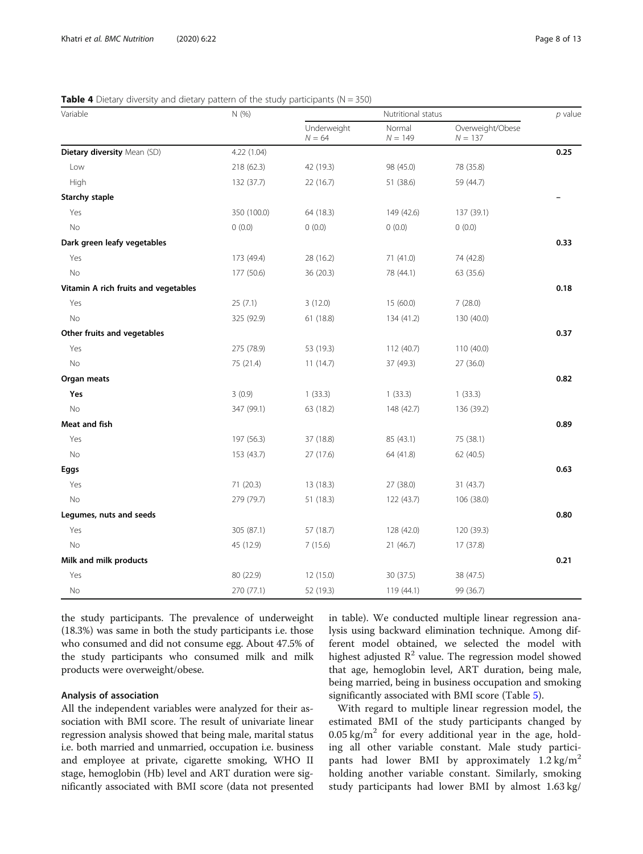#### <span id="page-7-0"></span>**Table 4** Dietary diversity and dietary pattern of the study participants ( $N = 350$ )

| Variable                             | N (%)       | Nutritional status      |                     |                               | $p$ value |
|--------------------------------------|-------------|-------------------------|---------------------|-------------------------------|-----------|
|                                      |             | Underweight<br>$N = 64$ | Normal<br>$N = 149$ | Overweight/Obese<br>$N = 137$ |           |
| Dietary diversity Mean (SD)          | 4.22(1.04)  |                         |                     |                               | 0.25      |
| Low                                  | 218 (62.3)  | 42 (19.3)               | 98 (45.0)           | 78 (35.8)                     |           |
| High                                 | 132 (37.7)  | 22(16.7)                | 51 (38.6)           | 59 (44.7)                     |           |
| <b>Starchy staple</b>                |             |                         |                     |                               |           |
| Yes                                  | 350 (100.0) | 64 (18.3)               | 149 (42.6)          | 137 (39.1)                    |           |
| No                                   | 0(0.0)      | 0(0.0)                  | 0(0.0)              | 0(0.0)                        |           |
| Dark green leafy vegetables          |             |                         |                     |                               | 0.33      |
| Yes                                  | 173 (49.4)  | 28 (16.2)               | 71 (41.0)           | 74 (42.8)                     |           |
| No                                   | 177 (50.6)  | 36 (20.3)               | 78 (44.1)           | 63 (35.6)                     |           |
| Vitamin A rich fruits and vegetables |             |                         |                     |                               | 0.18      |
| Yes                                  | 25(7.1)     | 3(12.0)                 | 15 (60.0)           | 7(28.0)                       |           |
| No                                   | 325 (92.9)  | 61(18.8)                | 134 (41.2)          | 130 (40.0)                    |           |
| Other fruits and vegetables          |             |                         |                     |                               | 0.37      |
| Yes                                  | 275 (78.9)  | 53 (19.3)               | 112 (40.7)          | 110 (40.0)                    |           |
| No                                   | 75 (21.4)   | 11(14.7)                | 37 (49.3)           | 27(36.0)                      |           |
| Organ meats                          |             |                         |                     |                               | 0.82      |
| Yes                                  | 3(0.9)      | 1(33.3)                 | 1(33.3)             | 1(33.3)                       |           |
| <b>No</b>                            | 347 (99.1)  | 63 (18.2)               | 148 (42.7)          | 136 (39.2)                    |           |
| Meat and fish                        |             |                         |                     |                               | 0.89      |
| Yes                                  | 197 (56.3)  | 37 (18.8)               | 85 (43.1)           | 75 (38.1)                     |           |
| No                                   | 153 (43.7)  | 27 (17.6)               | 64 (41.8)           | 62 (40.5)                     |           |
| Eggs                                 |             |                         |                     |                               | 0.63      |
| Yes                                  | 71 (20.3)   | 13 (18.3)               | 27 (38.0)           | 31 (43.7)                     |           |
| No                                   | 279 (79.7)  | 51(18.3)                | 122(43.7)           | 106 (38.0)                    |           |
| Legumes, nuts and seeds              |             |                         |                     |                               | 0.80      |
| Yes                                  | 305 (87.1)  | 57 (18.7)               | 128 (42.0)          | 120 (39.3)                    |           |
| No                                   | 45 (12.9)   | 7(15.6)                 | 21 (46.7)           | 17 (37.8)                     |           |
| Milk and milk products               |             |                         |                     |                               | 0.21      |
| Yes                                  | 80 (22.9)   | 12(15.0)                | 30 (37.5)           | 38 (47.5)                     |           |
| No                                   | 270 (77.1)  | 52 (19.3)               | 119 (44.1)          | 99 (36.7)                     |           |

the study participants. The prevalence of underweight (18.3%) was same in both the study participants i.e. those who consumed and did not consume egg. About 47.5% of the study participants who consumed milk and milk products were overweight/obese.

# Analysis of association

All the independent variables were analyzed for their association with BMI score. The result of univariate linear regression analysis showed that being male, marital status i.e. both married and unmarried, occupation i.e. business and employee at private, cigarette smoking, WHO II stage, hemoglobin (Hb) level and ART duration were significantly associated with BMI score (data not presented in table). We conducted multiple linear regression analysis using backward elimination technique. Among different model obtained, we selected the model with highest adjusted  $\mathbb{R}^2$  value. The regression model showed that age, hemoglobin level, ART duration, being male, being married, being in business occupation and smoking significantly associated with BMI score (Table [5\)](#page-8-0).

With regard to multiple linear regression model, the estimated BMI of the study participants changed by  $0.05 \text{ kg/m}^2$  for every additional year in the age, holding all other variable constant. Male study participants had lower BMI by approximately  $1.2 \text{ kg/m}^2$ holding another variable constant. Similarly, smoking study participants had lower BMI by almost 1.63 kg/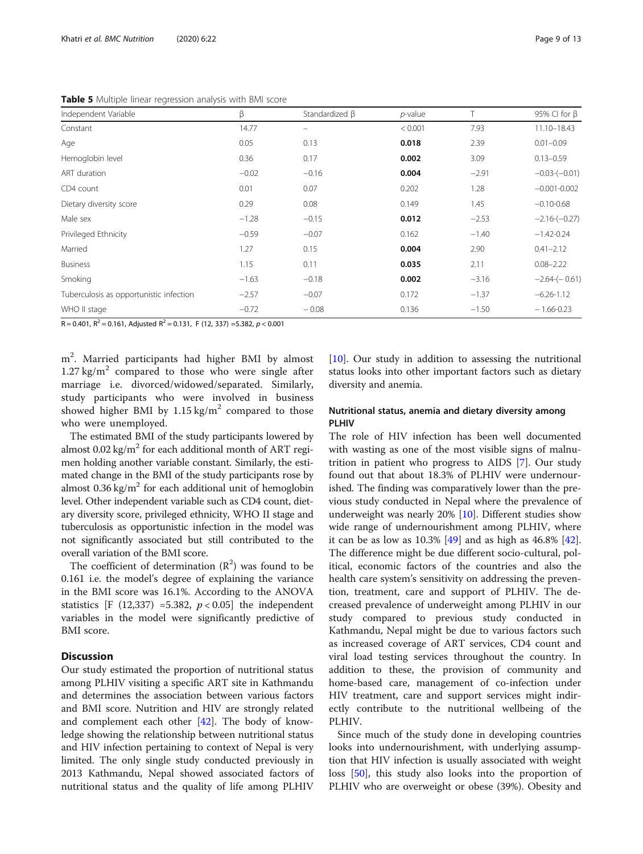<span id="page-8-0"></span>Table 5 Multiple linear regression analysis with BMI score

| Independent Variable                    | β       | Standardized β | $p$ -value |         | 95% CI for $\beta$ |
|-----------------------------------------|---------|----------------|------------|---------|--------------------|
| Constant                                | 14.77   | -              | < 0.001    | 7.93    | 11.10-18.43        |
| Age                                     | 0.05    | 0.13           | 0.018      | 2.39    | $0.01 - 0.09$      |
| Hemoglobin level                        | 0.36    | 0.17           | 0.002      | 3.09    | $0.13 - 0.59$      |
| ART duration                            | $-0.02$ | $-0.16$        | 0.004      | $-2.91$ | $-0.03-(-0.01)$    |
| CD4 count                               | 0.01    | 0.07           | 0.202      | 1.28    | $-0.001 - 0.002$   |
| Dietary diversity score                 | 0.29    | 0.08           | 0.149      | 1.45    | $-0.10 - 0.68$     |
| Male sex                                | $-1.28$ | $-0.15$        | 0.012      | $-2.53$ | $-2.16-(-0.27)$    |
| Privileged Ethnicity                    | $-0.59$ | $-0.07$        | 0.162      | $-1.40$ | $-1.42 - 0.24$     |
| Married                                 | 1.27    | 0.15           | 0.004      | 2.90    | $0.41 - 2.12$      |
| <b>Business</b>                         | 1.15    | 0.11           | 0.035      | 2.11    | $0.08 - 2.22$      |
| Smoking                                 | $-1.63$ | $-0.18$        | 0.002      | $-3.16$ | $-2.64-(-0.61)$    |
| Tuberculosis as opportunistic infection | $-2.57$ | $-0.07$        | 0.172      | $-1.37$ | $-6.26 - 1.12$     |
| WHO II stage                            | $-0.72$ | $-0.08$        | 0.136      | $-1.50$ | $-1.66 - 0.23$     |

R = 0.401,  $R^2$  = 0.161, Adjusted  $R^2$  = 0.131, F (12, 337) = 5.382, p < 0.001

m2 . Married participants had higher BMI by almost  $1.27 \text{ kg/m}^2$  compared to those who were single after marriage i.e. divorced/widowed/separated. Similarly, study participants who were involved in business showed higher BMI by  $1.15 \text{ kg/m}^2$  compared to those who were unemployed.

The estimated BMI of the study participants lowered by almost  $0.02 \text{ kg/m}^2$  for each additional month of ART regimen holding another variable constant. Similarly, the estimated change in the BMI of the study participants rose by almost  $0.36 \text{ kg/m}^2$  for each additional unit of hemoglobin level. Other independent variable such as CD4 count, dietary diversity score, privileged ethnicity, WHO II stage and tuberculosis as opportunistic infection in the model was not significantly associated but still contributed to the overall variation of the BMI score.

The coefficient of determination  $(R^2)$  was found to be 0.161 i.e. the model's degree of explaining the variance in the BMI score was 16.1%. According to the ANOVA statistics [F (12,337) =5.382,  $p < 0.05$ ] the independent variables in the model were significantly predictive of BMI score.

# **Discussion**

Our study estimated the proportion of nutritional status among PLHIV visiting a specific ART site in Kathmandu and determines the association between various factors and BMI score. Nutrition and HIV are strongly related and complement each other [[42\]](#page-12-0). The body of knowledge showing the relationship between nutritional status and HIV infection pertaining to context of Nepal is very limited. The only single study conducted previously in 2013 Kathmandu, Nepal showed associated factors of nutritional status and the quality of life among PLHIV

[[10\]](#page-11-0). Our study in addition to assessing the nutritional status looks into other important factors such as dietary diversity and anemia.

# Nutritional status, anemia and dietary diversity among PI HIV

The role of HIV infection has been well documented with wasting as one of the most visible signs of malnutrition in patient who progress to AIDS [\[7](#page-11-0)]. Our study found out that about 18.3% of PLHIV were undernourished. The finding was comparatively lower than the previous study conducted in Nepal where the prevalence of underweight was nearly 20% [\[10\]](#page-11-0). Different studies show wide range of undernourishment among PLHIV, where it can be as low as  $10.3\%$  [[49\]](#page-12-0) and as high as  $46.8\%$  [\[42](#page-12-0)]. The difference might be due different socio-cultural, political, economic factors of the countries and also the health care system's sensitivity on addressing the prevention, treatment, care and support of PLHIV. The decreased prevalence of underweight among PLHIV in our study compared to previous study conducted in Kathmandu, Nepal might be due to various factors such as increased coverage of ART services, CD4 count and viral load testing services throughout the country. In addition to these, the provision of community and home-based care, management of co-infection under HIV treatment, care and support services might indirectly contribute to the nutritional wellbeing of the PLHIV.

Since much of the study done in developing countries looks into undernourishment, with underlying assumption that HIV infection is usually associated with weight loss [\[50\]](#page-12-0), this study also looks into the proportion of PLHIV who are overweight or obese (39%). Obesity and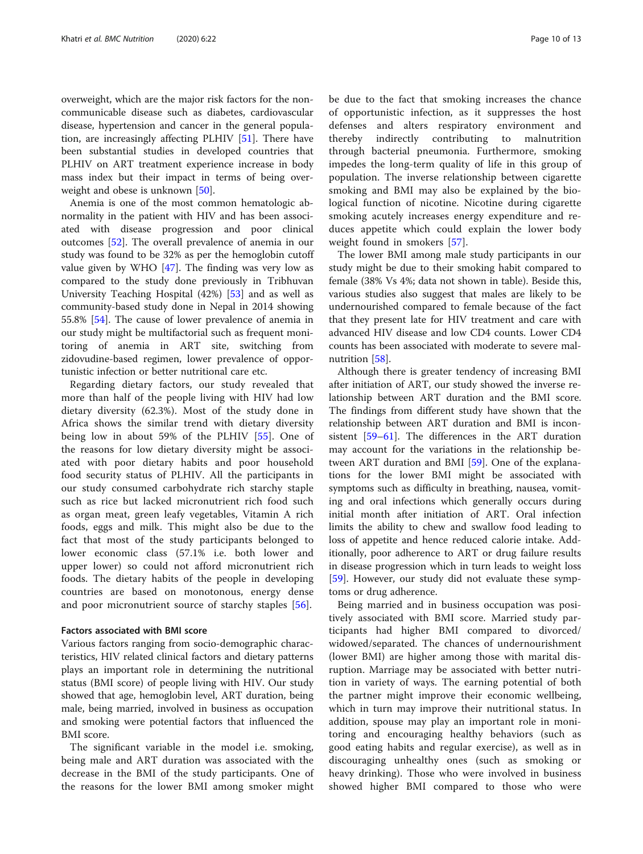overweight, which are the major risk factors for the noncommunicable disease such as diabetes, cardiovascular disease, hypertension and cancer in the general population, are increasingly affecting PLHIV [[51\]](#page-12-0). There have been substantial studies in developed countries that PLHIV on ART treatment experience increase in body mass index but their impact in terms of being overweight and obese is unknown [\[50](#page-12-0)].

Anemia is one of the most common hematologic abnormality in the patient with HIV and has been associated with disease progression and poor clinical outcomes [\[52\]](#page-12-0). The overall prevalence of anemia in our study was found to be 32% as per the hemoglobin cutoff value given by WHO [[47](#page-12-0)]. The finding was very low as compared to the study done previously in Tribhuvan University Teaching Hospital (42%) [\[53](#page-12-0)] and as well as community-based study done in Nepal in 2014 showing 55.8% [\[54](#page-12-0)]. The cause of lower prevalence of anemia in our study might be multifactorial such as frequent monitoring of anemia in ART site, switching from zidovudine-based regimen, lower prevalence of opportunistic infection or better nutritional care etc.

Regarding dietary factors, our study revealed that more than half of the people living with HIV had low dietary diversity (62.3%). Most of the study done in Africa shows the similar trend with dietary diversity being low in about 59% of the PLHIV [[55\]](#page-12-0). One of the reasons for low dietary diversity might be associated with poor dietary habits and poor household food security status of PLHIV. All the participants in our study consumed carbohydrate rich starchy staple such as rice but lacked micronutrient rich food such as organ meat, green leafy vegetables, Vitamin A rich foods, eggs and milk. This might also be due to the fact that most of the study participants belonged to lower economic class (57.1% i.e. both lower and upper lower) so could not afford micronutrient rich foods. The dietary habits of the people in developing countries are based on monotonous, energy dense and poor micronutrient source of starchy staples [\[56\]](#page-12-0).

#### Factors associated with BMI score

Various factors ranging from socio-demographic characteristics, HIV related clinical factors and dietary patterns plays an important role in determining the nutritional status (BMI score) of people living with HIV. Our study showed that age, hemoglobin level, ART duration, being male, being married, involved in business as occupation and smoking were potential factors that influenced the BMI score.

The significant variable in the model i.e. smoking, being male and ART duration was associated with the decrease in the BMI of the study participants. One of the reasons for the lower BMI among smoker might be due to the fact that smoking increases the chance of opportunistic infection, as it suppresses the host defenses and alters respiratory environment and thereby indirectly contributing to malnutrition through bacterial pneumonia. Furthermore, smoking impedes the long-term quality of life in this group of population. The inverse relationship between cigarette smoking and BMI may also be explained by the biological function of nicotine. Nicotine during cigarette smoking acutely increases energy expenditure and reduces appetite which could explain the lower body weight found in smokers [\[57](#page-12-0)].

The lower BMI among male study participants in our study might be due to their smoking habit compared to female (38% Vs 4%; data not shown in table). Beside this, various studies also suggest that males are likely to be undernourished compared to female because of the fact that they present late for HIV treatment and care with advanced HIV disease and low CD4 counts. Lower CD4 counts has been associated with moderate to severe malnutrition [\[58](#page-12-0)].

Although there is greater tendency of increasing BMI after initiation of ART, our study showed the inverse relationship between ART duration and the BMI score. The findings from different study have shown that the relationship between ART duration and BMI is inconsistent [[59](#page-12-0)–[61](#page-12-0)]. The differences in the ART duration may account for the variations in the relationship between ART duration and BMI [[59\]](#page-12-0). One of the explanations for the lower BMI might be associated with symptoms such as difficulty in breathing, nausea, vomiting and oral infections which generally occurs during initial month after initiation of ART. Oral infection limits the ability to chew and swallow food leading to loss of appetite and hence reduced calorie intake. Additionally, poor adherence to ART or drug failure results in disease progression which in turn leads to weight loss [[59\]](#page-12-0). However, our study did not evaluate these symptoms or drug adherence.

Being married and in business occupation was positively associated with BMI score. Married study participants had higher BMI compared to divorced/ widowed/separated. The chances of undernourishment (lower BMI) are higher among those with marital disruption. Marriage may be associated with better nutrition in variety of ways. The earning potential of both the partner might improve their economic wellbeing, which in turn may improve their nutritional status. In addition, spouse may play an important role in monitoring and encouraging healthy behaviors (such as good eating habits and regular exercise), as well as in discouraging unhealthy ones (such as smoking or heavy drinking). Those who were involved in business showed higher BMI compared to those who were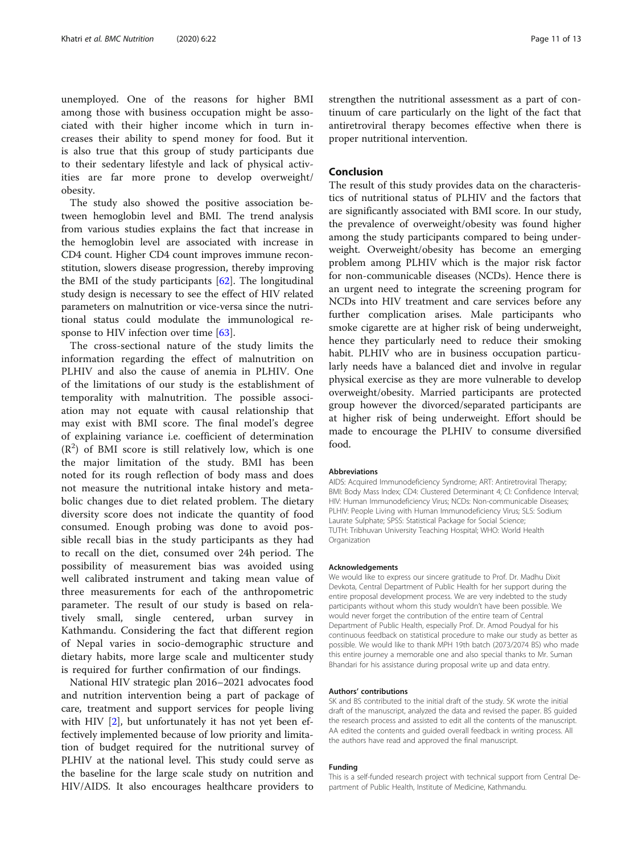unemployed. One of the reasons for higher BMI among those with business occupation might be associated with their higher income which in turn increases their ability to spend money for food. But it is also true that this group of study participants due to their sedentary lifestyle and lack of physical activities are far more prone to develop overweight/ obesity.

The study also showed the positive association between hemoglobin level and BMI. The trend analysis from various studies explains the fact that increase in the hemoglobin level are associated with increase in CD4 count. Higher CD4 count improves immune reconstitution, slowers disease progression, thereby improving the BMI of the study participants  $[62]$ . The longitudinal study design is necessary to see the effect of HIV related parameters on malnutrition or vice-versa since the nutritional status could modulate the immunological re-sponse to HIV infection over time [[63\]](#page-12-0).

The cross-sectional nature of the study limits the information regarding the effect of malnutrition on PLHIV and also the cause of anemia in PLHIV. One of the limitations of our study is the establishment of temporality with malnutrition. The possible association may not equate with causal relationship that may exist with BMI score. The final model's degree of explaining variance i.e. coefficient of determination  $(R<sup>2</sup>)$  of BMI score is still relatively low, which is one the major limitation of the study. BMI has been noted for its rough reflection of body mass and does not measure the nutritional intake history and metabolic changes due to diet related problem. The dietary diversity score does not indicate the quantity of food consumed. Enough probing was done to avoid possible recall bias in the study participants as they had to recall on the diet, consumed over 24h period. The possibility of measurement bias was avoided using well calibrated instrument and taking mean value of three measurements for each of the anthropometric parameter. The result of our study is based on relatively small, single centered, urban survey in Kathmandu. Considering the fact that different region of Nepal varies in socio-demographic structure and dietary habits, more large scale and multicenter study is required for further confirmation of our findings.

National HIV strategic plan 2016–2021 advocates food and nutrition intervention being a part of package of care, treatment and support services for people living with HIV [[2](#page-11-0)], but unfortunately it has not yet been effectively implemented because of low priority and limitation of budget required for the nutritional survey of PLHIV at the national level. This study could serve as the baseline for the large scale study on nutrition and HIV/AIDS. It also encourages healthcare providers to

strengthen the nutritional assessment as a part of continuum of care particularly on the light of the fact that antiretroviral therapy becomes effective when there is proper nutritional intervention.

# Conclusion

The result of this study provides data on the characteristics of nutritional status of PLHIV and the factors that are significantly associated with BMI score. In our study, the prevalence of overweight/obesity was found higher among the study participants compared to being underweight. Overweight/obesity has become an emerging problem among PLHIV which is the major risk factor for non-communicable diseases (NCDs). Hence there is an urgent need to integrate the screening program for NCDs into HIV treatment and care services before any further complication arises. Male participants who smoke cigarette are at higher risk of being underweight, hence they particularly need to reduce their smoking habit. PLHIV who are in business occupation particularly needs have a balanced diet and involve in regular physical exercise as they are more vulnerable to develop overweight/obesity. Married participants are protected group however the divorced/separated participants are at higher risk of being underweight. Effort should be made to encourage the PLHIV to consume diversified food.

#### Abbreviations

AIDS: Acquired Immunodeficiency Syndrome; ART: Antiretroviral Therapy; BMI: Body Mass Index; CD4: Clustered Determinant 4; CI: Confidence Interval; HIV: Human Immunodeficiency Virus; NCDs: Non-communicable Diseases; PLHIV: People Living with Human Immunodeficiency Virus; SLS: Sodium Laurate Sulphate; SPSS: Statistical Package for Social Science; TUTH: Tribhuvan University Teaching Hospital; WHO: World Health **Organization** 

#### Acknowledgements

We would like to express our sincere gratitude to Prof. Dr. Madhu Dixit Devkota, Central Department of Public Health for her support during the entire proposal development process. We are very indebted to the study participants without whom this study wouldn't have been possible. We would never forget the contribution of the entire team of Central Department of Public Health, especially Prof. Dr. Amod Poudyal for his continuous feedback on statistical procedure to make our study as better as possible. We would like to thank MPH 19th batch (2073/2074 BS) who made this entire journey a memorable one and also special thanks to Mr. Suman Bhandari for his assistance during proposal write up and data entry.

#### Authors' contributions

SK and BS contributed to the initial draft of the study. SK wrote the initial draft of the manuscript, analyzed the data and revised the paper. BS guided the research process and assisted to edit all the contents of the manuscript. AA edited the contents and guided overall feedback in writing process. All the authors have read and approved the final manuscript.

#### Funding

This is a self-funded research project with technical support from Central Department of Public Health, Institute of Medicine, Kathmandu.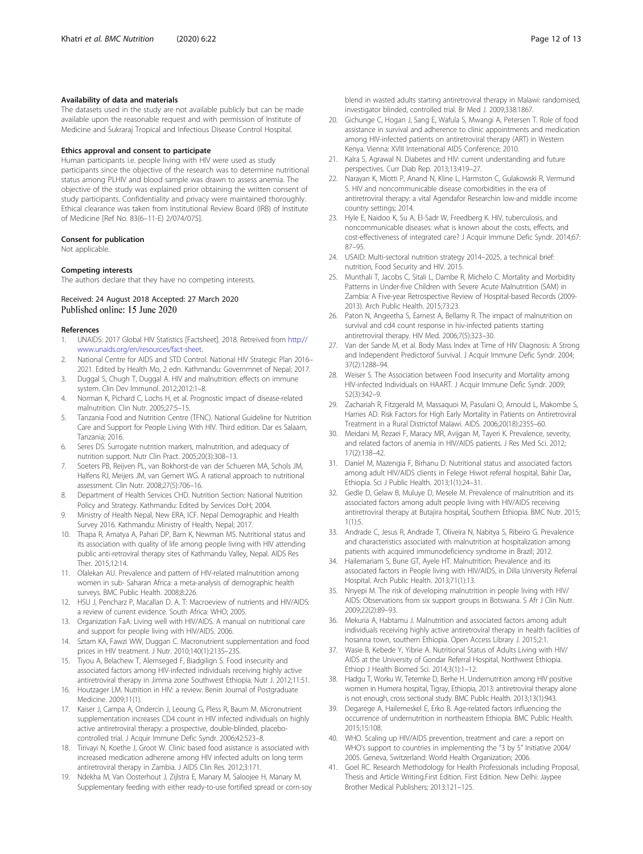#### <span id="page-11-0"></span>Availability of data and materials

The datasets used in the study are not available publicly but can be made available upon the reasonable request and with permission of Institute of Medicine and Sukraraj Tropical and Infectious Disease Control Hospital.

#### Ethics approval and consent to participate

Human participants i.e. people living with HIV were used as study participants since the objective of the research was to determine nutritional status among PLHIV and blood sample was drawn to assess anemia. The objective of the study was explained prior obtaining the written consent of study participants. Confidentiality and privacy were maintained thoroughly. Ethical clearance was taken from Institutional Review Board (IRB) of Institute of Medicine [Ref No. 83(6–11-E) 2/074/075].

#### Consent for publication

Not applicable.

#### Competing interests

The authors declare that they have no competing interests.

## Received: 24 August 2018 Accepted: 27 March 2020 Published online: 15 June 2020

#### References

- 1. UNAIDS: 2017 Global HIV Statistics [Factsheet]. 2018. Retreived from [http://](http://www.unaids.org/en/resources/fact-sheet) [www.unaids.org/en/resources/fact-sheet.](http://www.unaids.org/en/resources/fact-sheet)
- 2. National Centre for AIDS and STD Control. National HIV Strategic Plan 2016– 2021. Edited by Health Mo, 2 edn. Kathmandu: Governmnet of Nepal; 2017.
- 3. Duggal S, Chugh T, Duggal A. HIV and malnutrition: effects on immune system. Clin Dev Immunol. 2012;2012:1–8.
- 4. Norman K, Pichard C, Lochs H, et al. Prognostic impact of disease-related malnutrition. Clin Nutr. 2005;27:5–15.
- 5. Tanzania Food and Nutrition Centre (TFNC). National Guideline for Nutrition Care and Support for People Living With HIV. Third edition. Dar es Salaam, Tanzania; 2016.
- Seres DS. Surrogate nutrition markers, malnutrition, and adequacy of nutrition support. Nutr Clin Pract. 2005;20(3):308–13.
- 7. Soeters PB, Reijven PL, van Bokhorst-de van der Schueren MA, Schols JM, Halfens RJ, Meijers JM, van Gemert WG. A rational approach to nutritional assessment. Clin Nutr. 2008;27(5):706–16.
- Department of Health Services CHD. Nutrition Section: National Nutrition Policy and Strategy. Kathmandu: Edited by Services DoH; 2004.
- 9. Ministry of Health Nepal, New ERA, ICF. Nepal Demographic and Health Survey 2016. Kathmandu: Ministry of Health, Nepal; 2017.
- 10. Thapa R, Amatya A, Pahari DP, Bam K, Newman MS. Nutritional status and its association with quality of life among people living with HIV attending public anti-retroviral therapy sites of Kathmandu Valley, Nepal. AIDS Res Ther. 2015;12:14.
- 11. Olalekan AU. Prevalence and pattern of HIV-related malnutrition among women in sub- Saharan Africa: a meta-analysis of demographic health surveys. BMC Public Health. 2008;8:226.
- 12. HSU J, Pencharz P, Macallan D. A. T: Macroeview of nutrients and HIV/AIDS: a review of current evidence. South Africa: WHO; 2005.
- 13. Organization FaA: Living well with HIV/AIDS. A manual on nutritional care and support for people living with HIV/AIDS. 2006.
- 14. Sztam KA, Fawzi WW, Duggan C. Macronutrient supplementation and food prices in HIV treatment. J Nutr. 2010;140(1):213S–23S.
- 15. Tiyou A, Belachew T, Alemseged F, Biadgilign S. Food insecurity and associated factors among HIV-infected individuals receiving highly active antiretroviral therapy in Jimma zone Southwest Ethiopia. Nutr J. 2012;11:51.
- 16. Houtzager LM. Nutrition in HIV: a review. Benin Journal of Postgraduate Medicine. 2009;11(1).
- 17. Kaiser J, Campa A, Ondercin J, Leoung G, Pless R, Baum M. Micronutrient supplementation increases CD4 count in HIV infected individuals on highly active antiretroviral therapy: a prospective, double-blinded, placebocontrolled trial. J Acquir Immune Defic Syndr. 2006;42:523–8.
- 18. Tirivayi N, Koethe J, Groot W. Clinic based food asistance is associated with increased medication adherene among HIV infected adults on long term antiretroviral therapy in Zambia. J AIDS Clin Res. 2012;3:171.
- 19. Ndekha M, Van Oosterhout J, Zijlstra E, Manary M, Saloojee H, Manary M. Supplementary feeding with either ready-to-use fortified spread or corn-soy

blend in wasted adults starting antiretroviral therapy in Malawi: randomised, investigator blinded, controlled trial. Br Med J. 2009;338:1867.

- 20. Gichunge C, Hogan J, Sang E, Wafula S, Mwangi A, Petersen T. Role of food assistance in survival and adherence to clinic appointments and medication among HIV-infected patients on antiretroviral therapy (ART) in Western Kenya. Vienna: XVIII International AIDS Conference; 2010.
- 21. Kalra S, Agrawal N. Diabetes and HIV: current understanding and future perspectives. Curr Diab Rep. 2013;13:419–27.
- 22. Narayan K, Miotti P, Anand N, Kline L, Harmston C, Gulakowski R, Vermund S. HIV and noncommunicable disease comorbidities in the era of antiretroviral therapy: a vital Agendafor Researchin low-and middle income country settings; 2014.
- 23. Hyle E, Naidoo K, Su A, El-Sadr W, Freedberg K. HIV, tuberculosis, and noncommunicable diseases: what is known about the costs, effects, and cost-effectiveness of integrated care? J Acquir Immune Defic Syndr. 2014;67: 87–95.
- 24. USAID: Multi-sectoral nutrition strategy 2014–2025, a technical brief: nutrition, Food Security and HIV. 2015.
- 25. Munthali T, Jacobs C, Sitali L, Dambe R, Michelo C. Mortality and Morbidity Patterns in Under-five Children with Severe Acute Malnutrition (SAM) in Zambia: A Five-year Retrospective Review of Hospital-based Records (2009- 2013). Arch Public Health. 2015;73:23.
- 26. Paton N, Angeetha S, Earnest A, Bellamy R. The impact of malnutrition on survival and cd4 count response in hiv-infected patients starting antiretroviral therapy. HIV Med. 2006;7(5):323–30.
- 27. Van der Sande M, et al. Body Mass Index at Time of HIV Diagnosis: A Strong and Independent Predictorof Survival. J Acquir Immune Defic Syndr. 2004; 37(2):1288–94.
- 28. Weiser S. The Association between Food Insecurity and Mortality among HIV-infected Individuals on HAART. J Acquir Immune Defic Syndr. 2009; 52(3):342–9.
- 29. Zachariah R, Fitzgerald M, Massaquoi M, Pasulani O, Arnould L, Makombe S, Harries AD. Risk Factors for High Early Mortality in Patients on Antiretroviral Treatment in a Rural Districtof Malawi. AIDS. 2006;20(18):2355–60.
- 30. Meidani M, Rezaei F, Maracy MR, Avijgan M, Tayeri K. Prevalence, severity, and related factors of anemia in HIV/AIDS patients. J Res Med Sci. 2012; 17(2):138–42.
- 31. Daniel M, Mazengia F, Birhanu D. Nutritional status and associated factors among adult HIV/AIDS clients in Felege Hiwot referral hospital, Bahir Dar, Ethiopia. Sci J Public Health. 2013;1(1):24–31.
- 32. Gedle D, Gelaw B, Muluye D, Mesele M. Prevalence of malnutrition and its associated factors among adult people living with HIV/AIDS receiving antiretroviral therapy at Butajira hospital, Southern Ethiopia. BMC Nutr. 2015;  $1(1)$  $-5$
- 33. Andrade C, Jesus R, Andrade T, Oliveira N, Nabitya S, Ribeiro G. Prevalence and characteristics associated with malnutrition at hospitalization among patients with acquired immunodeficiency syndrome in Brazil; 2012.
- 34. Hailemariam S, Bune GT, Ayele HT. Malnutrition: Prevalence and its associated factors in People living with HIV/AIDS, in Dilla University Referral Hospital. Arch Public Health. 2013;71(1):13.
- 35. Nnyepi M. The risk of developing malnutrition in people living with HIV/ AIDS: Observations from six support groups in Botswana. S Afr J Clin Nutr. 2009;22(2):89–93.
- 36. Mekuria A, Habtamu J. Malnutrition and associated factors among adult individuals receiving highly active antiretroviral therapy in health facilities of hosanna town, southern Ethiopia. Open Access Library J. 2015;2:1.
- 37. Wasie B, Kebede Y, Yibrie A. Nutritional Status of Adults Living with HIV/ AIDS at the University of Gondar Referral Hospital, Northwest Ethiopia. Ethiop J Health Biomed Sci. 2014;3(1):1–12.
- 38. Hadgu T, Worku W, Tetemke D, Berhe H. Undernutrition among HIV positive women in Humera hospital, Tigray, Ethiopia, 2013: antiretroviral therapy alone is not enough, cross sectional study. BMC Public Health. 2013;13(1):943.
- 39. Degarege A, Hailemeskel E, Erko B. Age-related factors influencing the occurrence of undernutrition in northeastern Ethiopia. BMC Public Health. 2015;15:108.
- 40. WHO. Scaling up HIV/AIDS prevention, treatment and care: a report on WHO's support to countries in implementing the "3 by 5" Initiative 2004/ 2005. Geneva, Switzerland: World Health Organization; 2006.
- 41. Goel RC. Research Methodology for Health Professionals including Proposal, Thesis and Article Writing.First Edition. First Edition. New Delhi: Jaypee Brother Medical Publishers; 2013:121–125.